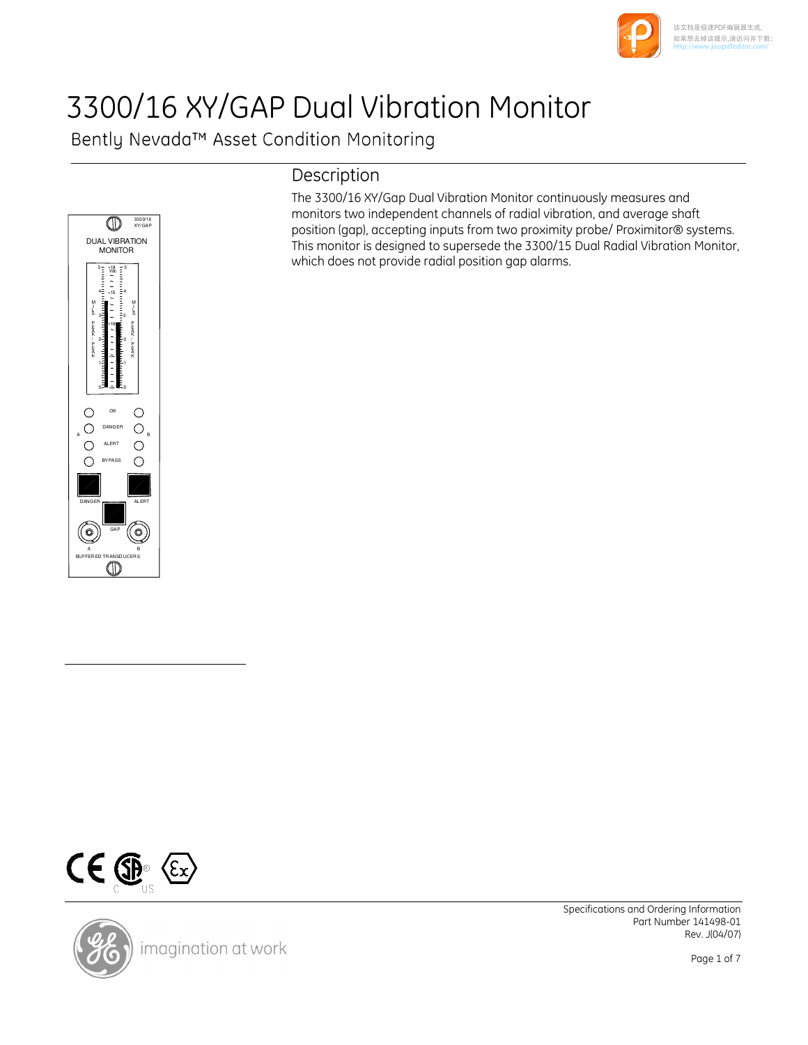

#### 该文档是极速PDF编辑器生成, 如果想去掉该提示,请访问并下载: http://[www.jisupdfeditor.com/](http://www.jisupdfeditor.com?watermark)

# 3300/16 XY/GAP Dual Vibration Monitor

Bently Nevada™ Asset Condition Monitoring



## Description

The 3300/16 XY/Gap Dual Vibration Monitor continuously measures and monitors two independent channels of radial vibration, and average shaft position (gap), accepting inputs from two proximity probe/ Proximitor® systems. This monitor is designed to supersede the 3300/15 Dual Radial Vibration Monitor, which does not provide radial position gap alarms.





Specifications and Ordering Information Part Number 141498-01 Rev. J(04/07)

Page 1 of 7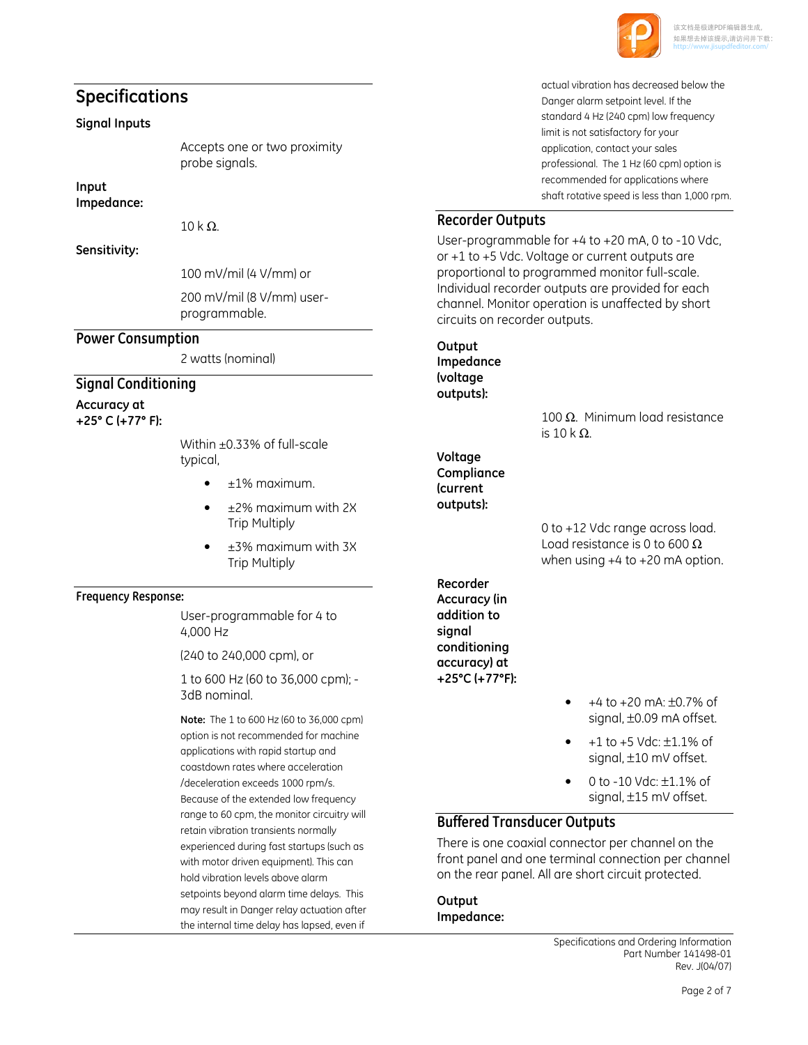

## Specifications

#### Signal Inputs

Accepts one or two proximity probe signals.

Input Impedance:

 $10$  k Ω.

Sensitivity:

100 mV/mil (4 V/mm) or

200 mV/mil (8 V/mm) userprogrammable.

#### Power Consumption

2 watts (nominal)

#### Signal Conditioning

Accuracy at +25° C (+77° F):

> Within ±0.33% of full-scale typical,

- $\bullet$   $\pm$ 1% maximum.
- ±2% maximum with 2X Trip Multiply
- ±3% maximum with 3X Trip Multiply

#### Frequency Response:

User-programmable for 4 to 4,000 Hz

(240 to 240,000 cpm), or

1 to 600 Hz (60 to 36,000 cpm); - 3dB nominal.

Note: The 1 to 600 Hz (60 to 36,000 cpm) option is not recommended for machine applications with rapid startup and coastdown rates where acceleration /deceleration exceeds 1000 rpm/s. Because of the extended low frequency range to 60 cpm, the monitor circuitry will retain vibration transients normally experienced during fast startups (such as with motor driven equipment). This can hold vibration levels above alarm setpoints beyond alarm time delays. This may result in Danger relay actuation after the internal time delay has lapsed, even if

actual vibration has decreased below the Danger alarm setpoint level. If the standard 4 Hz (240 cpm) low frequency limit is not satisfactory for your application, contact your sales professional. The 1 Hz (60 cpm) option is recommended for applications where shaft rotative speed is less than 1,000 rpm.

## Recorder Outputs

User-programmable for +4 to +20 mA, 0 to -10 Vdc, or +1 to +5 Vdc. Voltage or current outputs are proportional to programmed monitor full-scale. Individual recorder outputs are provided for each channel. Monitor operation is unaffected by short circuits on recorder outputs.

**Output** 

Impedance (voltage outputs):

> 100 Ω. Minimum load resistance is  $10$  k Ω.

Voltage **Compliance** (current outputs):

> 0 to +12 Vdc range across load. Load resistance is 0 to 600  $\Omega$ when using +4 to +20 mA option.

Recorder Accuracy (in addition to sianal conditioning accuracy) at +25°C (+77°F):

- +4 to +20 mA: ±0.7% of signal, ±0.09 mA offset.
- +1 to +5 Vdc: ±1.1% of signal, ±10 mV offset.
- 0 to -10 Vdc: ±1.1% of signal, ±15 mV offset.

#### Buffered Transducer Outputs

There is one coaxial connector per channel on the front panel and one terminal connection per channel on the rear panel. All are short circuit protected.

**Output** Impedance: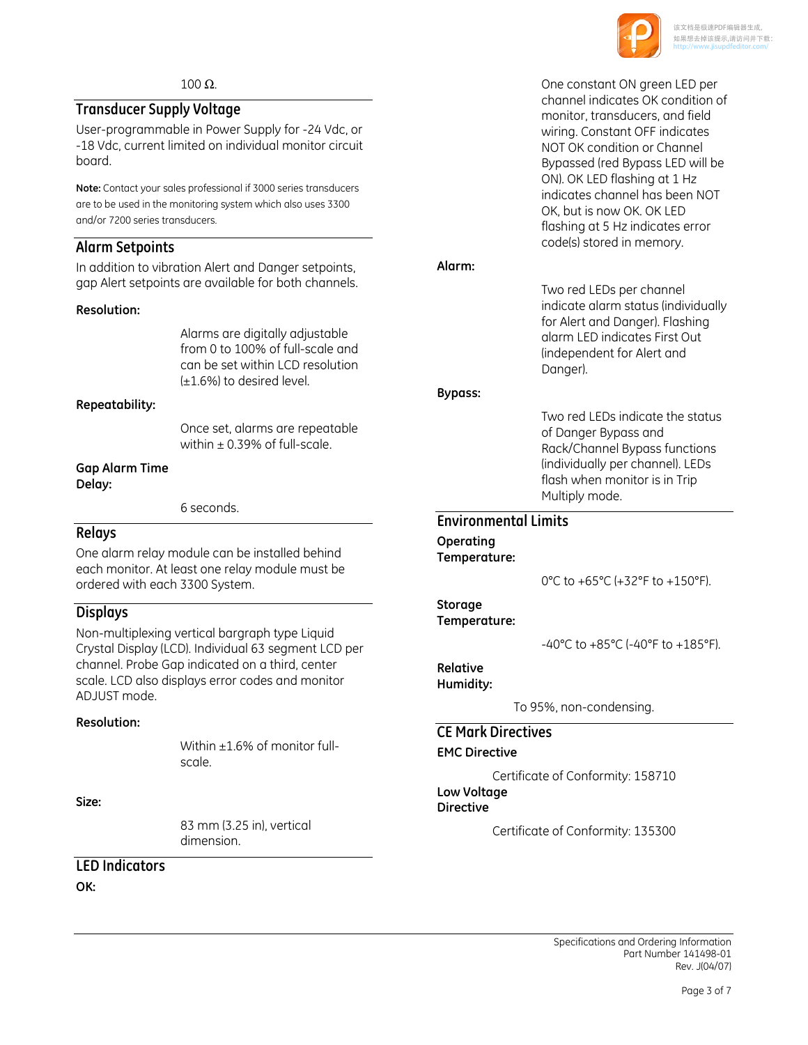

#### $100$  Ω.

## Transducer Supply Voltage

User-programmable in Power Supply for -24 Vdc, or -18 Vdc, current limited on individual monitor circuit board.

Note: Contact your sales professional if 3000 series transducers are to be used in the monitoring system which also uses 3300 and/or 7200 series transducers.

## Alarm Setpoints

In addition to vibration Alert and Danger setpoints, gap Alert setpoints are available for both channels.

#### Resolution:

Alarms are digitally adjustable from 0 to 100% of full-scale and can be set within LCD resolution (±1.6%) to desired level.

#### Repeatability:

Once set, alarms are repeatable within  $\pm$  0.39% of full-scale.

#### Gap Alarm Time Delay:

6 seconds.

#### Relays

One alarm relay module can be installed behind each monitor. At least one relay module must be ordered with each 3300 System.

#### Displays

Non-multiplexing vertical bargraph type Liquid Crystal Display (LCD). Individual 63 segment LCD per channel. Probe Gap indicated on a third, center scale. LCD also displays error codes and monitor ADJUST mode.

#### Resolution:

Within +1.6% of monitor fullscale.

#### Size:

83 mm (3.25 in), vertical dimension.

### LED Indicators

OK:

One constant ON green LED per channel indicates OK condition of monitor, transducers, and field wiring. Constant OFF indicates NOT OK condition or Channel Bypassed (red Bypass LED will be ON). OK LED flashing at 1 Hz indicates channel has been NOT OK, but is now OK. OK LED flashing at 5 Hz indicates error code(s) stored in memory.

#### Alarm:

Two red LEDs per channel indicate alarm status (individually for Alert and Danger). Flashing alarm LED indicates First Out (independent for Alert and Danger).

#### Bypass:

Two red LEDs indicate the status of Danger Bypass and Rack/Channel Bypass functions (individually per channel). LEDs flash when monitor is in Trip Multiply mode.

#### Environmental Limits

Operating Temperature:

0°C to +65°C (+32°F to +150°F).

#### Storage

Temperature:

-40°C to +85°C (-40°F to +185°F).

## Relative

Humidity:

To 95%, non-condensing.

## CE Mark Directives

EMC Directive

Certificate of Conformity: 158710 Low Voltage Directive

Certificate of Conformity: 135300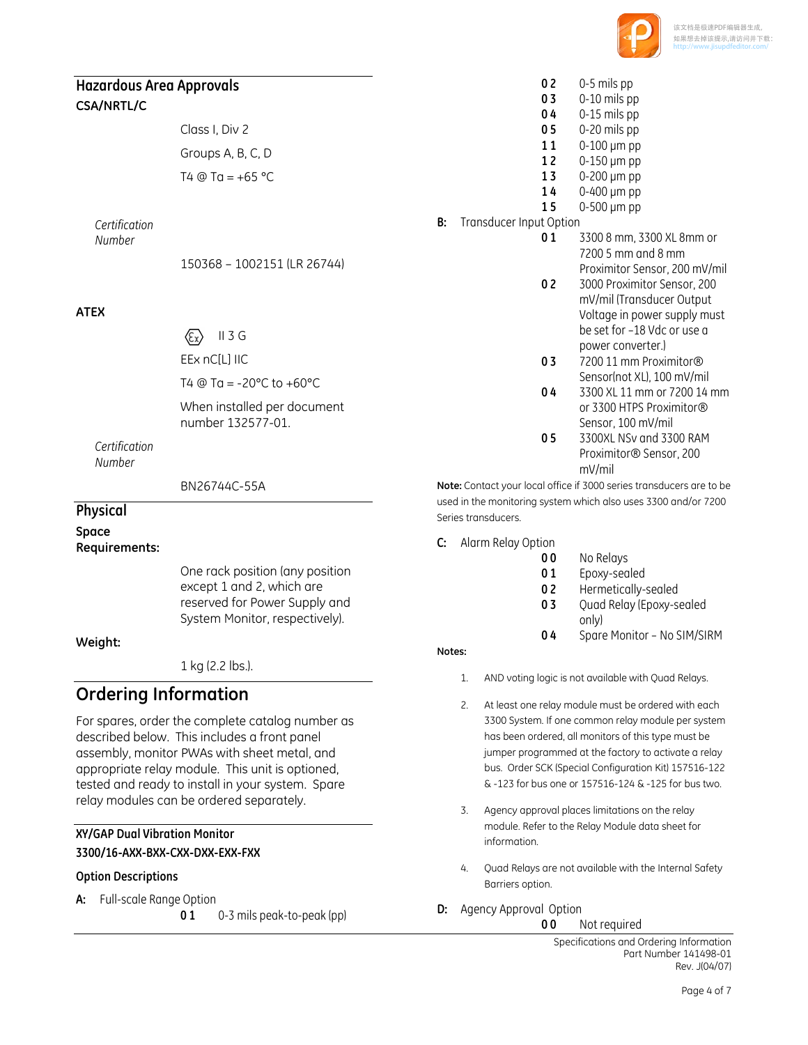

## Hazardous Area Approvals

#### CSA/NRTL/C

| Class I, Div 2     |
|--------------------|
| Groups A, B, C, D  |
| T4 @ Ta = $+65$ °C |

Certification Number

150368 – 1002151 (LR 26744)

#### ATEX

II 3 G 公

EEx nC[L] IIC

T4  $@$  Ta = -20 $°C$  to +60 $°C$ 

When installed per document number 132577-01.

Certification Number

BN26744C-55A

#### Physical Space

Requirements:

One rack position (any position except 1 and 2, which are reserved for Power Supply and System Monitor, respectively).

#### Weight:

1 kg (2.2 lbs.).

## Ordering Information

For spares, order the complete catalog number as described below. This includes a front panel assembly, monitor PWAs with sheet metal, and appropriate relay module. This unit is optioned, tested and ready to install in your system. Spare relay modules can be ordered separately.

#### XY/GAP Dual Vibration Monitor

3300/16-AXX-BXX-CXX-DXX-EXX-FXX

#### Option Descriptions

- A: Full-scale Range Option
	- 0 1 0-3 mils peak-to-peak (pp)
- $0.2$  0-5 mils pp
- **0 3** 0-10 mils pp
- 0 4 0-15 mils pp 0 5 0-20 mils pp
- 11 0-100 µm pp
- 12 0-150 µm pp
- 13  $0-200 \mu m$  pp
- 14 0-400 µm pp
- 15 0-500 µm pp
- **B:** Transducer Input Option
	- 0 1 3300 8 mm, 3300 XL 8 mm or 7200 5 mm and 8 mm Proximitor Sensor, 200 mV/mil 0 2 3000 Proximitor Sensor, 200 mV/mil (Transducer Output Voltage in power supply must be set for –18 Vdc or use a power converter.) 0 3 7200 11 mm Proximitor® Sensor(not XL), 100 mV/mil 0 4 3300 XL 11 mm or 7200 14 mm or 3300 HTPS Proximitor® Sensor, 100 mV/mil 0 5 3300XL NSv and 3300 RAM Proximitor® Sensor, 200 mV/mil

Note: Contact your local office if 3000 series transducers are to be used in the monitoring system which also uses 3300 and/or 7200 Series transducers.

- C: Alarm Relay Option
	- 00 No Relays
	- 01 Epoxy-sealed
	- 02 Hermetically-sealed
	- 0 3 Ouad Relay (Epoxy-sealed only)
	- 04 Spare Monitor No SIM/SIRM

#### Notes:

- 1. AND voting logic is not available with Quad Relays.
- 2. At least one relay module must be ordered with each 3300 System. If one common relay module per system has been ordered, all monitors of this type must be jumper programmed at the factory to activate a relay bus. Order SCK (Special Configuration Kit) 157516-122 & -123 for bus one or 157516-124 & -125 for bus two.
- 3. Agency approval places limitations on the relay module. Refer to the Relay Module data sheet for information.
- 4. Quad Relays are not available with the Internal Safety Barriers option.
- **D:** Agency Approval Option

**00** Not required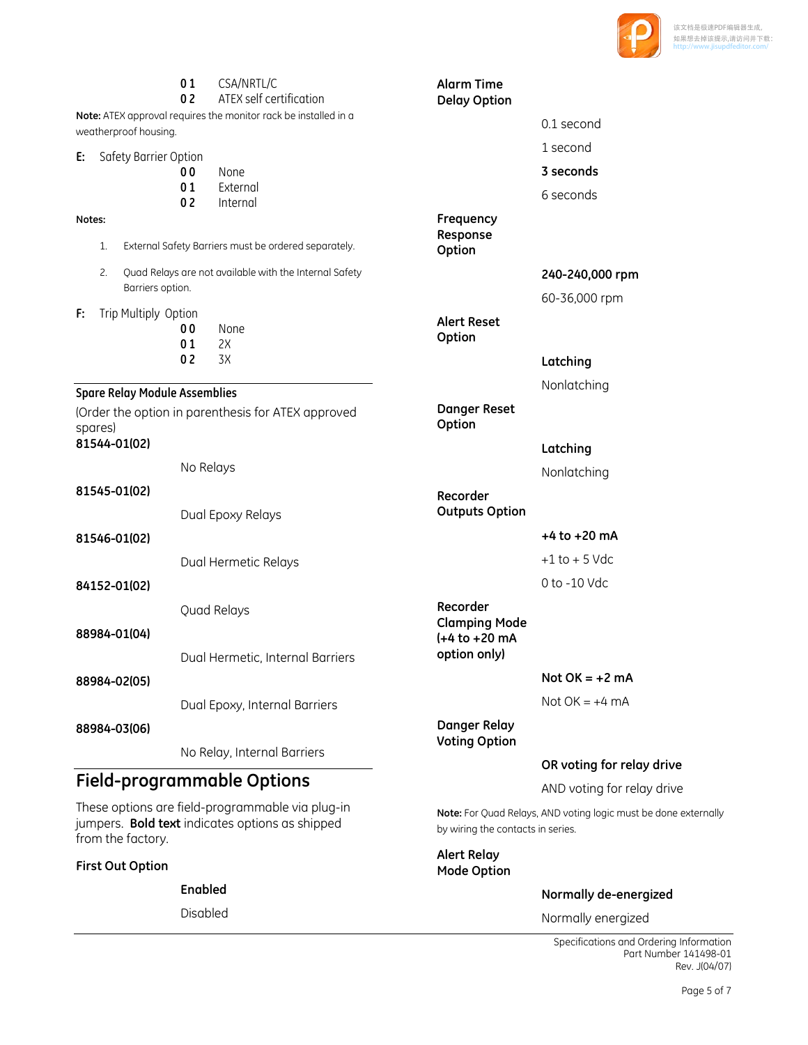

|                                                                                  | 01<br>0 <sub>2</sub> | CSA/NRTL/C<br>ATEX self certification                           | <b>Alarm Time</b><br><b>Delay Option</b>             |                            |
|----------------------------------------------------------------------------------|----------------------|-----------------------------------------------------------------|------------------------------------------------------|----------------------------|
|                                                                                  |                      | Note: ATEX approval requires the monitor rack be installed in a |                                                      | 0.1 second                 |
| weatherproof housing.                                                            |                      |                                                                 |                                                      | 1 second                   |
| Safety Barrier Option<br>E:                                                      | 00                   | None                                                            |                                                      | 3 seconds                  |
|                                                                                  | 01<br>0 <sub>2</sub> | External<br>Internal                                            |                                                      | 6 seconds                  |
| Notes:                                                                           |                      |                                                                 | Frequency                                            |                            |
| External Safety Barriers must be ordered separately.<br>1.                       |                      |                                                                 | Response<br>Option                                   |                            |
| 2.<br>Quad Relays are not available with the Internal Safety<br>Barriers option. |                      |                                                                 |                                                      | 240-240,000 rpm            |
|                                                                                  |                      |                                                                 |                                                      | 60-36,000 rpm              |
| Trip Multiply Option<br>F:                                                       | 00<br>01             | None<br>2X                                                      | <b>Alert Reset</b><br>Option                         |                            |
|                                                                                  | 02                   | 3X                                                              |                                                      | Latching                   |
| <b>Spare Relay Module Assemblies</b>                                             |                      |                                                                 |                                                      | Nonlatching                |
| spares)                                                                          |                      | (Order the option in parenthesis for ATEX approved              | <b>Danger Reset</b><br>Option                        |                            |
| 81544-01(02)                                                                     |                      |                                                                 |                                                      | Latching                   |
|                                                                                  | No Relays            |                                                                 |                                                      | Nonlatching                |
| 81545-01(02)                                                                     |                      | Dual Epoxy Relays                                               | Recorder<br><b>Outputs Option</b>                    |                            |
| 81546-01(02)                                                                     |                      |                                                                 |                                                      | $+4$ to $+20$ mA           |
|                                                                                  |                      | Dual Hermetic Relays                                            |                                                      | $+1$ to $+5$ Vdc           |
| 84152-01(02)                                                                     |                      |                                                                 |                                                      | 0 to -10 Vdc               |
| 88984-01(04)                                                                     |                      | Quad Relays                                                     | Recorder<br><b>Clamping Mode</b><br>$(+4 to +20 mA)$ |                            |
|                                                                                  |                      | Dual Hermetic, Internal Barriers                                | option only)                                         |                            |
| 88984-02(05)                                                                     |                      |                                                                 |                                                      | Not $OK = +2$ mA           |
|                                                                                  |                      | Dual Epoxy, Internal Barriers                                   |                                                      | Not $OK = +4$ mA           |
| 88984-03(06)                                                                     |                      | No Relay, Internal Barriers                                     | <b>Danger Relay</b><br><b>Voting Option</b>          |                            |
|                                                                                  |                      |                                                                 |                                                      | OR voting for relay drive  |
| <b>Field-programmable Options</b>                                                |                      |                                                                 |                                                      | AND voting for relay drive |

These options are field-programmable via plug-in jumpers. Bold text indicates options as shipped from the factory.

First Out Option

Enabled

Disabled

Specifications and Ordering Information Part Number 141498-01 Rev. J(04/07)

Note: For Quad Relays, AND voting logic must be done externally

Normally de-energized

Normally energized

by wiring the contacts in series.

Alert Relay Mode Option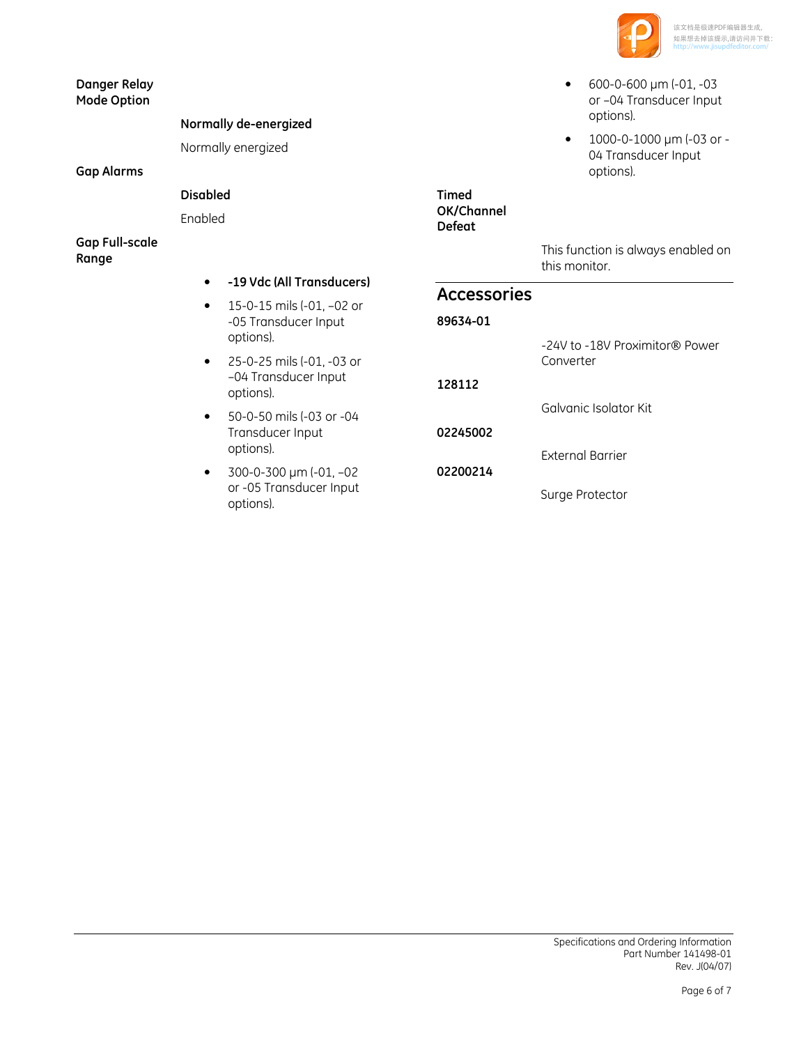

- $600 0 600 \mu m (-01, -03)$ or –04 Transducer Input options).
- 1000-0-1000 µm (-03 or 04 Transducer Input options).

#### Danger Relay Mode Option

## Normally de-energized

Normally energized

#### Gap Alarms

## Disabled

Enabled

#### Gap Full-scale Range

- -19 Vdc (All Transducers)
- 15-0-15 mils (-01, –02 or -05 Transducer Input options).
- 25-0-25 mils (-01, -03 or –04 Transducer Input options).
- 50-0-50 mils (-03 or -04 Transducer Input options).
- $\bullet$  300-0-300 µm (-01, -02) or -05 Transducer Input options).

Timed OK/Channel Defeat

This function is always enabled on this monitor.

## Accessories

## 89634-01

02200214

-24V to -18V Proximitor® Power Converter

128112 Galvanic Isolator Kit

02245002

External Barrier

Surge Protector